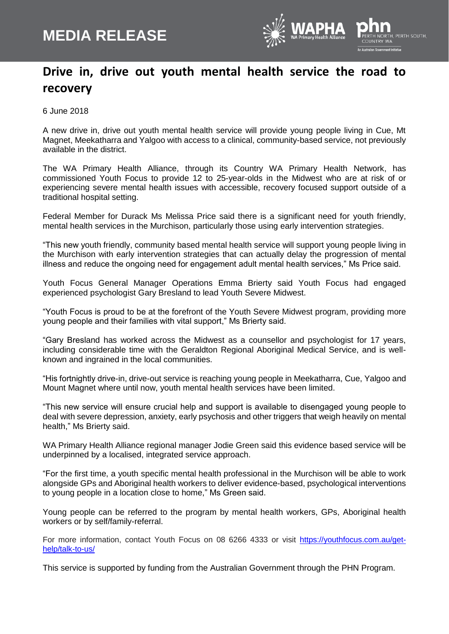

## **Drive in, drive out youth mental health service the road to recovery**

6 June 2018

A new drive in, drive out youth mental health service will provide young people living in Cue, Mt Magnet, Meekatharra and Yalgoo with access to a clinical, community-based service, not previously available in the district.

The WA Primary Health Alliance, through its Country WA Primary Health Network, has commissioned Youth Focus to provide 12 to 25-year-olds in the Midwest who are at risk of or experiencing severe mental health issues with accessible, recovery focused support outside of a traditional hospital setting.

Federal Member for Durack Ms Melissa Price said there is a significant need for youth friendly, mental health services in the Murchison, particularly those using early intervention strategies.

"This new youth friendly, community based mental health service will support young people living in the Murchison with early intervention strategies that can actually delay the progression of mental illness and reduce the ongoing need for engagement adult mental health services," Ms Price said.

Youth Focus General Manager Operations Emma Brierty said Youth Focus had engaged experienced psychologist Gary Bresland to lead Youth Severe Midwest.

"Youth Focus is proud to be at the forefront of the Youth Severe Midwest program, providing more young people and their families with vital support," Ms Brierty said.

"Gary Bresland has worked across the Midwest as a counsellor and psychologist for 17 years, including considerable time with the Geraldton Regional Aboriginal Medical Service, and is wellknown and ingrained in the local communities.

"His fortnightly drive-in, drive-out service is reaching young people in Meekatharra, Cue, Yalgoo and Mount Magnet where until now, youth mental health services have been limited.

"This new service will ensure crucial help and support is available to disengaged young people to deal with severe depression, anxiety, early psychosis and other triggers that weigh heavily on mental health," Ms Brierty said.

WA Primary Health Alliance regional manager Jodie Green said this evidence based service will be underpinned by a localised, integrated service approach.

"For the first time, a youth specific mental health professional in the Murchison will be able to work alongside GPs and Aboriginal health workers to deliver evidence-based, psychological interventions to young people in a location close to home," Ms Green said.

Young people can be referred to the program by mental health workers, GPs, Aboriginal health workers or by self/family-referral.

For more information, contact Youth Focus on 08 6266 4333 or visit [https://youthfocus.com.au/get](https://youthfocus.com.au/get-help/talk-to-us/)[help/talk-to-us/](https://youthfocus.com.au/get-help/talk-to-us/)

This service is supported by funding from the Australian Government through the PHN Program.